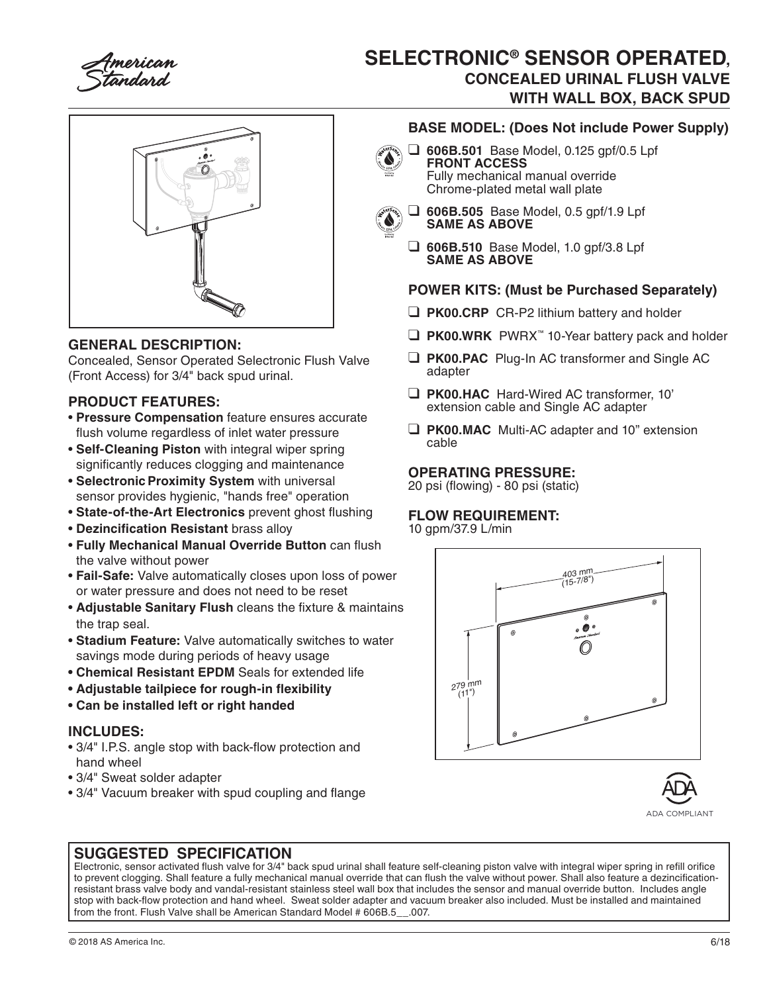

# **SELECTRONIC® SENSOR OPERATED, CONCEALED URINAL FLUSH VALVE WITH WALL BOX, BACK SPUD**



## **GENERAL DESCRIPTION:**

Concealed, Sensor Operated Selectronic Flush Valve (Front Access) for 3/4" back spud urinal.

## **PRODUCT FEATURES:**

- **Pressure Compensation** feature ensures accurate flush volume regardless of inlet water pressure
- **Self-Cleaning Piston** with integral wiper spring significantly reduces clogging and maintenance
- **Selectronic Proximity System with universal** sensor provides hygienic, "hands free" operation
- **State-of-the-Art Electronics** prevent ghost flushing
- **Dezincification Resistant** brass alloy
- **Fully Mechanical Manual Override Button** can flush the valve without power
- **Fail-Safe:** Valve automatically closes upon loss of power or water pressure and does not need to be reset
- **Adjustable Sanitary Flush** cleans the fixture & maintains the trap seal.
- **Stadium Feature:** Valve automatically switches to water savings mode during periods of heavy usage
- **Chemical Resistant EPDM** Seals for extended life
- **Adjustable tailpiece for rough-in flexibility**
- **Can be installed left or right handed**

### **INCLUDES:**

- 3/4" I.P.S. angle stop with back-flow protection and hand wheel
- 3/4" Sweat solder adapter
- 3/4" Vacuum breaker with spud coupling and flange

## **BASE MODEL: (Does Not include Power Supply)**

❑ **606B.501** Base Model, 0.125 gpf/0.5 Lpf **FRONT ACCESS** Fully mechanical manual override Chrome-plated metal wall plate



- ❑ **606B.505** Base Model, 0.5 gpf/1.9 Lpf **SAME AS ABOVE**
- ❑ **606B.510** Base Model, 1.0 gpf/3.8 Lpf **SAME AS ABOVE**

### **POWER KITS: (Must be Purchased Separately)**

- ❑ **PK00.CRP** CR-P2 lithium battery and holder
- ❑ **PK00.WRK** PWRX™ 10-Year battery pack and holder
- ❑ **PK00.PAC** Plug-In AC transformer and Single AC adapter
- ❑ **PK00.HAC** Hard-Wired AC transformer, 10' extension cable and Single AC adapter
- ❑ **PK00.MAC** Multi-AC adapter and 10" extension cable

#### **OPERATING PRESSURE:**

20 psi (flowing) - 80 psi (static)

### **FLOW REQUIREMENT:**

10 gpm/37.9 L/min





## **SUGGESTED SPECIFICATION**

Electronic, sensor activated flush valve for 3/4" back spud urinal shall feature self-cleaning piston valve with integral wiper spring in refill orifice to prevent clogging. Shall feature a fully mechanical manual override that can flush the valve without power. Shall also feature a dezincificationresistant brass valve body and vandal-resistant stainless steel wall box that includes the sensor and manual override button. Includes angle stop with back-flow protection and hand wheel. Sweat solder adapter and vacuum breaker also included. Must be installed and maintained from the front. Flush Valve shall be American Standard Model # 606B.5\_\_.007.